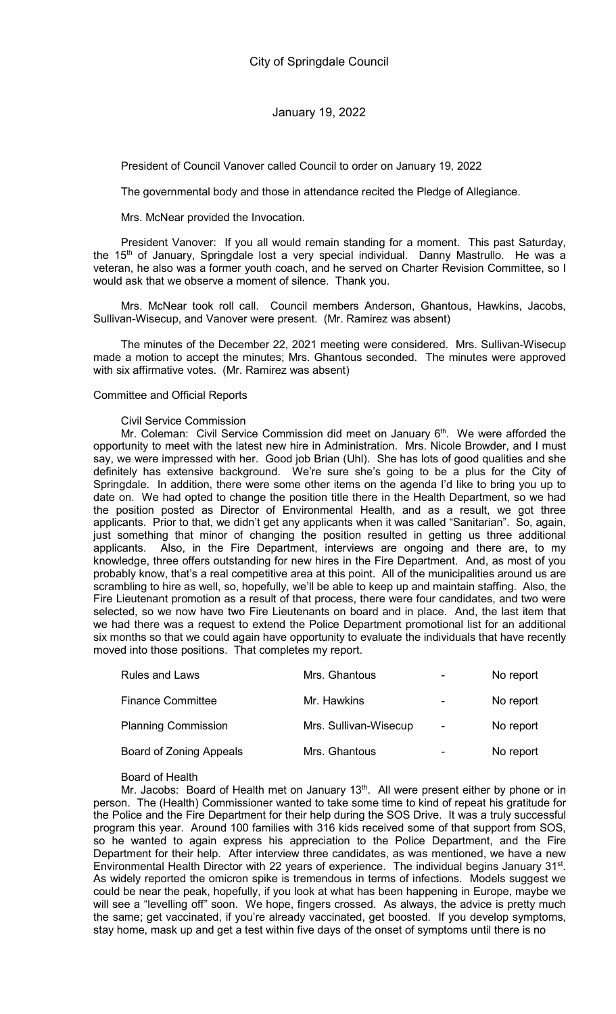President of Council Vanover called Council to order on January 19, 2022

The governmental body and those in attendance recited the Pledge of Allegiance.

Mrs. McNear provided the Invocation.

President Vanover: If you all would remain standing for a moment. This past Saturday, the 15<sup>th</sup> of January, Springdale lost a very special individual. Danny Mastrullo. He was a veteran, he also was a former youth coach, and he served on Charter Revision Committee, so I would ask that we observe a moment of silence. Thank you.

Mrs. McNear took roll call. Council members Anderson, Ghantous, Hawkins, Jacobs, Sullivan-Wisecup, and Vanover were present. (Mr. Ramirez was absent)

The minutes of the December 22, 2021 meeting were considered. Mrs. Sullivan-Wisecup made a motion to accept the minutes; Mrs. Ghantous seconded. The minutes were approved with six affirmative votes. (Mr. Ramirez was absent)

## Committee and Official Reports

#### Civil Service Commission

Mr. Coleman: Civil Service Commission did meet on January  $6<sup>th</sup>$ . We were afforded the opportunity to meet with the latest new hire in Administration. Mrs. Nicole Browder, and I must say, we were impressed with her. Good job Brian (Uhl). She has lots of good qualities and she definitely has extensive background. We're sure she's going to be a plus for the City of Springdale. In addition, there were some other items on the agenda I'd like to bring you up to date on. We had opted to change the position title there in the Health Department, so we had the position posted as Director of Environmental Health, and as a result, we got three applicants. Prior to that, we didn't get any applicants when it was called "Sanitarian". So, again, just something that minor of changing the position resulted in getting us three additional applicants. Also, in the Fire Department, interviews are ongoing and there are, to my knowledge, three offers outstanding for new hires in the Fire Department. And, as most of you probably know, that's a real competitive area at this point. All of the municipalities around us are scrambling to hire as well, so, hopefully, we'll be able to keep up and maintain staffing. Also, the Fire Lieutenant promotion as a result of that process, there were four candidates, and two were selected, so we now have two Fire Lieutenants on board and in place. And, the last item that we had there was a request to extend the Police Department promotional list for an additional six months so that we could again have opportunity to evaluate the individuals that have recently moved into those positions. That completes my report.

| <b>Rules and Laws</b>          | Mrs. Ghantous         |   | No report |
|--------------------------------|-----------------------|---|-----------|
| <b>Finance Committee</b>       | Mr. Hawkins           | - | No report |
| <b>Planning Commission</b>     | Mrs. Sullivan-Wisecup | ۰ | No report |
| <b>Board of Zoning Appeals</b> | Mrs. Ghantous         |   | No report |

#### Board of Health

Mr. Jacobs: Board of Health met on January  $13<sup>th</sup>$ . All were present either by phone or in person. The (Health) Commissioner wanted to take some time to kind of repeat his gratitude for the Police and the Fire Department for their help during the SOS Drive. It was a truly successful program this year. Around 100 families with 316 kids received some of that support from SOS, so he wanted to again express his appreciation to the Police Department, and the Fire Department for their help. After interview three candidates, as was mentioned, we have a new Environmental Health Director with 22 years of experience. The individual begins January 31<sup>st</sup>. As widely reported the omicron spike is tremendous in terms of infections. Models suggest we could be near the peak, hopefully, if you look at what has been happening in Europe, maybe we will see a "levelling off" soon. We hope, fingers crossed. As always, the advice is pretty much the same; get vaccinated, if you're already vaccinated, get boosted. If you develop symptoms, stay home, mask up and get a test within five days of the onset of symptoms until there is no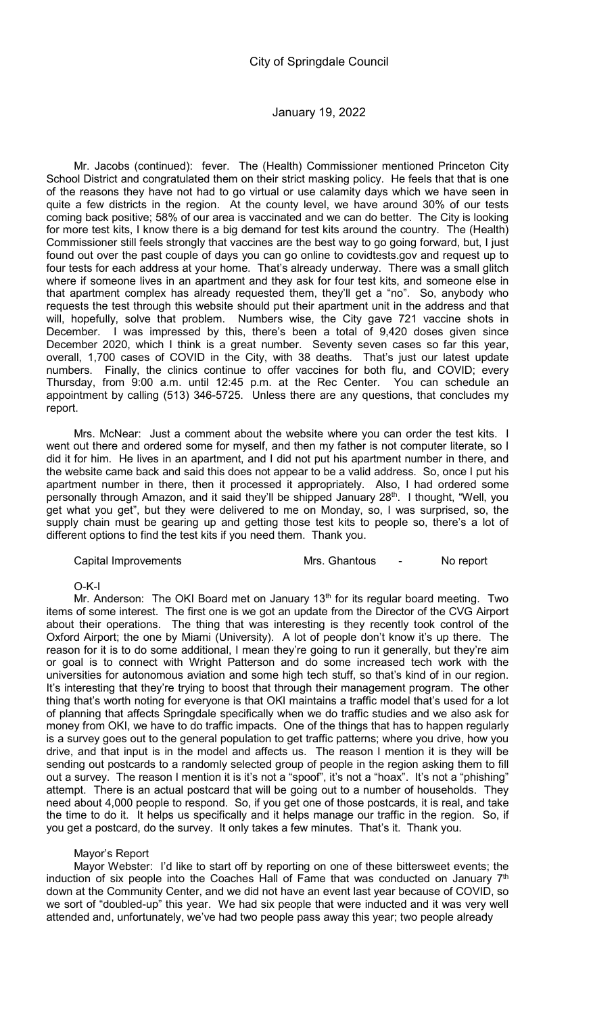Mr. Jacobs (continued): fever. The (Health) Commissioner mentioned Princeton City School District and congratulated them on their strict masking policy. He feels that that is one of the reasons they have not had to go virtual or use calamity days which we have seen in quite a few districts in the region. At the county level, we have around 30% of our tests coming back positive; 58% of our area is vaccinated and we can do better. The City is looking for more test kits, I know there is a big demand for test kits around the country. The (Health) Commissioner still feels strongly that vaccines are the best way to go going forward, but, I just found out over the past couple of days you can go online to covidtests.gov and request up to four tests for each address at your home. That's already underway. There was a small glitch where if someone lives in an apartment and they ask for four test kits, and someone else in that apartment complex has already requested them, they'll get a "no". So, anybody who requests the test through this website should put their apartment unit in the address and that will, hopefully, solve that problem. Numbers wise, the City gave 721 vaccine shots in December. I was impressed by this, there's been a total of 9,420 doses given since December 2020, which I think is a great number. Seventy seven cases so far this year, overall, 1,700 cases of COVID in the City, with 38 deaths. That's just our latest update numbers. Finally, the clinics continue to offer vaccines for both flu, and COVID; every Thursday, from 9:00 a.m. until 12:45 p.m. at the Rec Center. You can schedule an appointment by calling (513) 346-5725. Unless there are any questions, that concludes my report.

Mrs. McNear: Just a comment about the website where you can order the test kits. I went out there and ordered some for myself, and then my father is not computer literate, so I did it for him. He lives in an apartment, and I did not put his apartment number in there, and the website came back and said this does not appear to be a valid address. So, once I put his apartment number in there, then it processed it appropriately. Also, I had ordered some personally through Amazon, and it said they'll be shipped January 28<sup>th</sup>. I thought, "Well, you get what you get", but they were delivered to me on Monday, so, I was surprised, so, the supply chain must be gearing up and getting those test kits to people so, there's a lot of different options to find the test kits if you need them. Thank you.

| <b>Capital Improvements</b> |  |
|-----------------------------|--|
|                             |  |

Mrs. Ghantous - No report

#### O-K-I

Mr. Anderson: The OKI Board met on January  $13<sup>th</sup>$  for its regular board meeting. Two items of some interest. The first one is we got an update from the Director of the CVG Airport about their operations. The thing that was interesting is they recently took control of the Oxford Airport; the one by Miami (University). A lot of people don't know it's up there. The reason for it is to do some additional, I mean they're going to run it generally, but they're aim or goal is to connect with Wright Patterson and do some increased tech work with the universities for autonomous aviation and some high tech stuff, so that's kind of in our region. It's interesting that they're trying to boost that through their management program. The other thing that's worth noting for everyone is that OKI maintains a traffic model that's used for a lot of planning that affects Springdale specifically when we do traffic studies and we also ask for money from OKI, we have to do traffic impacts. One of the things that has to happen regularly is a survey goes out to the general population to get traffic patterns; where you drive, how you drive, and that input is in the model and affects us. The reason I mention it is they will be sending out postcards to a randomly selected group of people in the region asking them to fill out a survey. The reason I mention it is it's not a "spoof", it's not a "hoax". It's not a "phishing" attempt. There is an actual postcard that will be going out to a number of households. They need about 4,000 people to respond. So, if you get one of those postcards, it is real, and take the time to do it. It helps us specifically and it helps manage our traffic in the region. So, if you get a postcard, do the survey. It only takes a few minutes. That's it. Thank you.

#### Mayor's Report

Mayor Webster: I'd like to start off by reporting on one of these bittersweet events; the induction of six people into the Coaches Hall of Fame that was conducted on January  $7<sup>th</sup>$ down at the Community Center, and we did not have an event last year because of COVID, so we sort of "doubled-up" this year. We had six people that were inducted and it was very well attended and, unfortunately, we've had two people pass away this year; two people already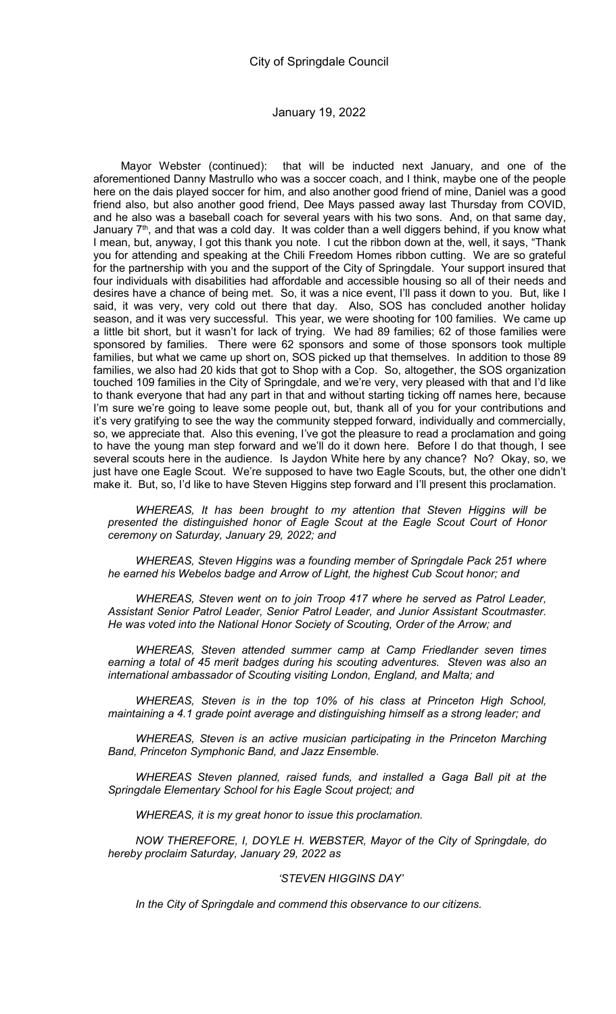Mayor Webster (continued): that will be inducted next January, and one of the aforementioned Danny Mastrullo who was a soccer coach, and I think, maybe one of the people here on the dais played soccer for him, and also another good friend of mine, Daniel was a good friend also, but also another good friend, Dee Mays passed away last Thursday from COVID, and he also was a baseball coach for several years with his two sons. And, on that same day, January  $7<sup>th</sup>$ , and that was a cold day. It was colder than a well diggers behind, if you know what I mean, but, anyway, I got this thank you note. I cut the ribbon down at the, well, it says, "Thank you for attending and speaking at the Chili Freedom Homes ribbon cutting. We are so grateful for the partnership with you and the support of the City of Springdale. Your support insured that four individuals with disabilities had affordable and accessible housing so all of their needs and desires have a chance of being met. So, it was a nice event, I'll pass it down to you. But, like I said, it was very, very cold out there that day. Also, SOS has concluded another holiday season, and it was very successful. This year, we were shooting for 100 families. We came up a little bit short, but it wasn't for lack of trying. We had 89 families; 62 of those families were sponsored by families. There were 62 sponsors and some of those sponsors took multiple families, but what we came up short on, SOS picked up that themselves. In addition to those 89 families, we also had 20 kids that got to Shop with a Cop. So, altogether, the SOS organization touched 109 families in the City of Springdale, and we're very, very pleased with that and I'd like to thank everyone that had any part in that and without starting ticking off names here, because I'm sure we're going to leave some people out, but, thank all of you for your contributions and it's very gratifying to see the way the community stepped forward, individually and commercially, so, we appreciate that. Also this evening, I've got the pleasure to read a proclamation and going to have the young man step forward and we'll do it down here. Before I do that though, I see several scouts here in the audience. Is Jaydon White here by any chance? No? Okay, so, we just have one Eagle Scout. We're supposed to have two Eagle Scouts, but, the other one didn't make it. But, so, I'd like to have Steven Higgins step forward and I'll present this proclamation.

WHEREAS, It has been brought to my attention that Steven Higgins will be presented the distinguished honor of Eagle Scout at the Eagle Scout Court of Honor ceremony on Saturday, January 29, 2022; and

WHEREAS, Steven Higgins was a founding member of Springdale Pack 251 where he earned his Webelos badge and Arrow of Light, the highest Cub Scout honor; and

WHEREAS, Steven went on to join Troop 417 where he served as Patrol Leader, Assistant Senior Patrol Leader, Senior Patrol Leader, and Junior Assistant Scoutmaster. He was voted into the National Honor Society of Scouting, Order of the Arrow; and

WHEREAS, Steven attended summer camp at Camp Friedlander seven times earning a total of 45 merit badges during his scouting adventures. Steven was also an international ambassador of Scouting visiting London, England, and Malta; and

WHEREAS, Steven is in the top 10% of his class at Princeton High School, maintaining a 4.1 grade point average and distinguishing himself as a strong leader; and

WHEREAS, Steven is an active musician participating in the Princeton Marching Band, Princeton Symphonic Band, and Jazz Ensemble.

WHEREAS Steven planned, raised funds, and installed a Gaga Ball pit at the Springdale Elementary School for his Eagle Scout project; and

WHEREAS, it is my great honor to issue this proclamation.

NOW THEREFORE, I, DOYLE H. WEBSTER, Mayor of the City of Springdale, do hereby proclaim Saturday, January 29, 2022 as

#### 'STEVEN HIGGINS DAY'

In the City of Springdale and commend this observance to our citizens.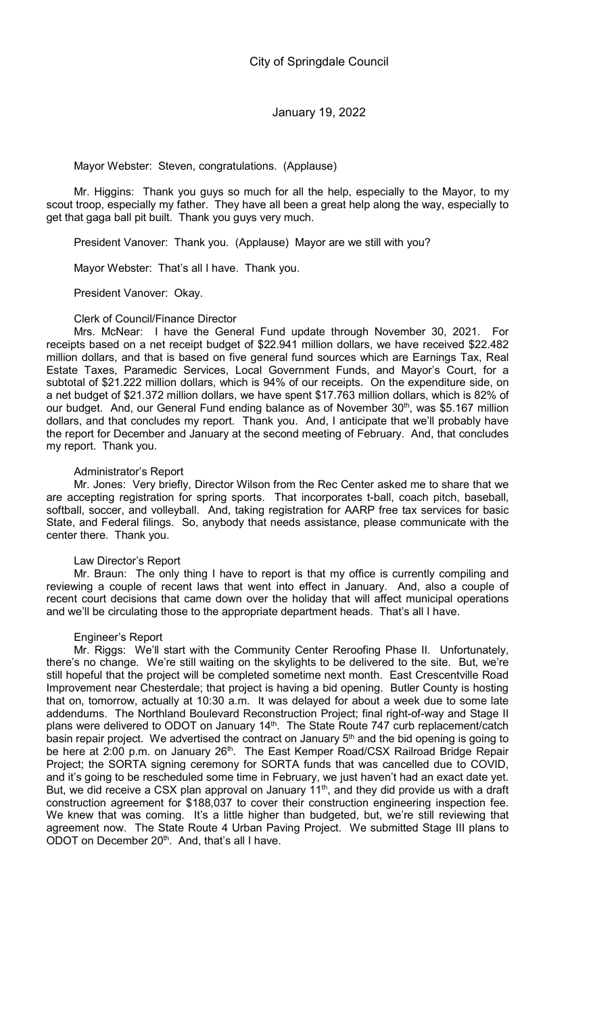Mayor Webster: Steven, congratulations. (Applause)

Mr. Higgins: Thank you guys so much for all the help, especially to the Mayor, to my scout troop, especially my father. They have all been a great help along the way, especially to get that gaga ball pit built. Thank you guys very much.

President Vanover: Thank you. (Applause) Mayor are we still with you?

Mayor Webster: That's all I have. Thank you.

President Vanover: Okay.

Clerk of Council/Finance Director

Mrs. McNear: I have the General Fund update through November 30, 2021. For receipts based on a net receipt budget of \$22.941 million dollars, we have received \$22.482 million dollars, and that is based on five general fund sources which are Earnings Tax, Real Estate Taxes, Paramedic Services, Local Government Funds, and Mayor's Court, for a subtotal of \$21.222 million dollars, which is 94% of our receipts. On the expenditure side, on a net budget of \$21.372 million dollars, we have spent \$17.763 million dollars, which is 82% of our budget. And, our General Fund ending balance as of November  $30<sup>th</sup>$ , was \$5.167 million dollars, and that concludes my report. Thank you. And, I anticipate that we'll probably have the report for December and January at the second meeting of February. And, that concludes my report. Thank you.

# Administrator's Report

Mr. Jones: Very briefly, Director Wilson from the Rec Center asked me to share that we are accepting registration for spring sports. That incorporates t-ball, coach pitch, baseball, softball, soccer, and volleyball. And, taking registration for AARP free tax services for basic State, and Federal filings. So, anybody that needs assistance, please communicate with the center there. Thank you.

#### Law Director's Report

Mr. Braun: The only thing I have to report is that my office is currently compiling and reviewing a couple of recent laws that went into effect in January. And, also a couple of recent court decisions that came down over the holiday that will affect municipal operations and we'll be circulating those to the appropriate department heads. That's all I have.

## Engineer's Report

Mr. Riggs: We'll start with the Community Center Reroofing Phase II. Unfortunately, there's no change. We're still waiting on the skylights to be delivered to the site. But, we're still hopeful that the project will be completed sometime next month. East Crescentville Road Improvement near Chesterdale; that project is having a bid opening. Butler County is hosting that on, tomorrow, actually at 10:30 a.m. It was delayed for about a week due to some late addendums. The Northland Boulevard Reconstruction Project; final right-of-way and Stage II plans were delivered to ODOT on January 14th. The State Route 747 curb replacement/catch basin repair project. We advertised the contract on January 5<sup>th</sup> and the bid opening is going to be here at 2:00 p.m. on January 26<sup>th</sup>. The East Kemper Road/CSX Railroad Bridge Repair Project; the SORTA signing ceremony for SORTA funds that was cancelled due to COVID, and it's going to be rescheduled some time in February, we just haven't had an exact date yet. But, we did receive a CSX plan approval on January  $11<sup>th</sup>$ , and they did provide us with a draft construction agreement for \$188,037 to cover their construction engineering inspection fee. We knew that was coming. It's a little higher than budgeted, but, we're still reviewing that agreement now. The State Route 4 Urban Paving Project. We submitted Stage III plans to ODOT on December 20<sup>th</sup>. And, that's all I have.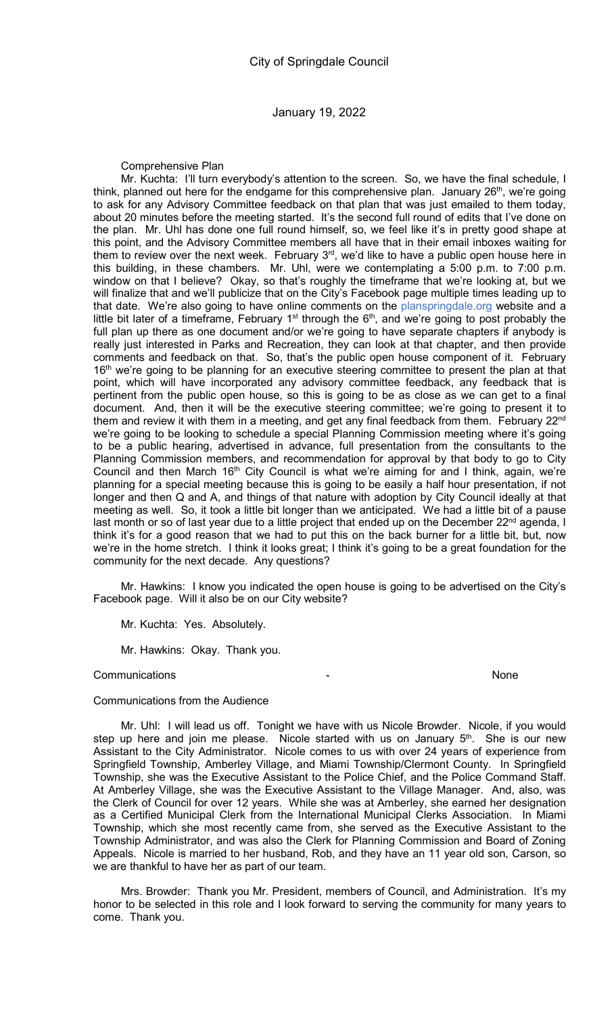Comprehensive Plan

Mr. Kuchta: I'll turn everybody's attention to the screen. So, we have the final schedule, I think, planned out here for the endgame for this comprehensive plan. January  $26<sup>th</sup>$ , we're going to ask for any Advisory Committee feedback on that plan that was just emailed to them today, about 20 minutes before the meeting started. It's the second full round of edits that I've done on the plan. Mr. Uhl has done one full round himself, so, we feel like it's in pretty good shape at this point, and the Advisory Committee members all have that in their email inboxes waiting for them to review over the next week. February 3<sup>rd</sup>, we'd like to have a public open house here in this building, in these chambers. Mr. Uhl, were we contemplating a 5:00 p.m. to 7:00 p.m. window on that I believe? Okay, so that's roughly the timeframe that we're looking at, but we will finalize that and we'll publicize that on the City's Facebook page multiple times leading up to that date. We're also going to have online comments on the planspringdale.org website and a little bit later of a timeframe, February  $1<sup>st</sup>$  through the  $6<sup>th</sup>$ , and we're going to post probably the full plan up there as one document and/or we're going to have separate chapters if anybody is really just interested in Parks and Recreation, they can look at that chapter, and then provide comments and feedback on that. So, that's the public open house component of it. February 16<sup>th</sup> we're going to be planning for an executive steering committee to present the plan at that point, which will have incorporated any advisory committee feedback, any feedback that is pertinent from the public open house, so this is going to be as close as we can get to a final document. And, then it will be the executive steering committee; we're going to present it to them and review it with them in a meeting, and get any final feedback from them. February 22<sup>nd</sup> we're going to be looking to schedule a special Planning Commission meeting where it's going to be a public hearing, advertised in advance, full presentation from the consultants to the Planning Commission members, and recommendation for approval by that body to go to City Council and then March  $16<sup>th</sup>$  City Council is what we're aiming for and I think, again, we're planning for a special meeting because this is going to be easily a half hour presentation, if not longer and then Q and A, and things of that nature with adoption by City Council ideally at that meeting as well. So, it took a little bit longer than we anticipated. We had a little bit of a pause last month or so of last year due to a little project that ended up on the December 22<sup>nd</sup> agenda, I think it's for a good reason that we had to put this on the back burner for a little bit, but, now we're in the home stretch. I think it looks great; I think it's going to be a great foundation for the community for the next decade. Any questions?

Mr. Hawkins: I know you indicated the open house is going to be advertised on the City's Facebook page. Will it also be on our City website?

Mr. Kuchta: Yes. Absolutely.

Mr. Hawkins: Okay. Thank you.

#### **Communications Communications Communications Communications Communications**

# Communications from the Audience

Mr. Uhl: I will lead us off. Tonight we have with us Nicole Browder. Nicole, if you would step up here and join me please. Nicole started with us on January  $5<sup>th</sup>$ . She is our new Assistant to the City Administrator. Nicole comes to us with over 24 years of experience from Springfield Township, Amberley Village, and Miami Township/Clermont County. In Springfield Township, she was the Executive Assistant to the Police Chief, and the Police Command Staff. At Amberley Village, she was the Executive Assistant to the Village Manager. And, also, was the Clerk of Council for over 12 years. While she was at Amberley, she earned her designation as a Certified Municipal Clerk from the International Municipal Clerks Association. In Miami Township, which she most recently came from, she served as the Executive Assistant to the Township Administrator, and was also the Clerk for Planning Commission and Board of Zoning Appeals. Nicole is married to her husband, Rob, and they have an 11 year old son, Carson, so we are thankful to have her as part of our team.

Mrs. Browder: Thank you Mr. President, members of Council, and Administration. It's my honor to be selected in this role and I look forward to serving the community for many years to come. Thank you.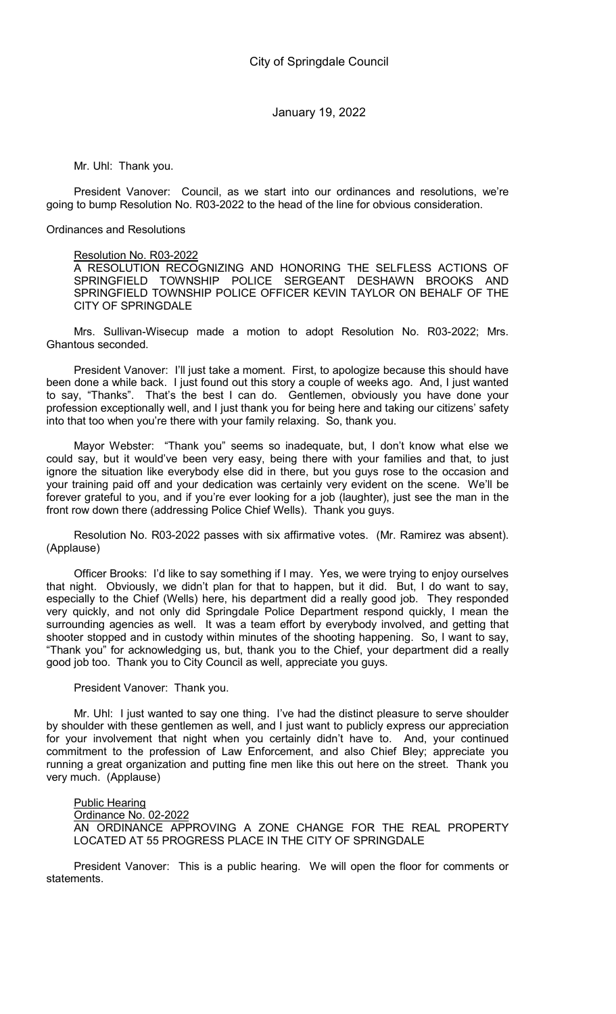Mr. Uhl: Thank you.

President Vanover: Council, as we start into our ordinances and resolutions, we're going to bump Resolution No. R03-2022 to the head of the line for obvious consideration.

Ordinances and Resolutions

## Resolution No. R03-2022

A RESOLUTION RECOGNIZING AND HONORING THE SELFLESS ACTIONS OF SPRINGFIELD TOWNSHIP POLICE SERGEANT DESHAWN BROOKS AND SPRINGFIELD TOWNSHIP POLICE OFFICER KEVIN TAYLOR ON BEHALF OF THE CITY OF SPRINGDALE

Mrs. Sullivan-Wisecup made a motion to adopt Resolution No. R03-2022; Mrs. Ghantous seconded.

President Vanover: I'll just take a moment. First, to apologize because this should have been done a while back. I just found out this story a couple of weeks ago. And, I just wanted to say, "Thanks". That's the best I can do. Gentlemen, obviously you have done your profession exceptionally well, and I just thank you for being here and taking our citizens' safety into that too when you're there with your family relaxing. So, thank you.

Mayor Webster: "Thank you" seems so inadequate, but, I don't know what else we could say, but it would've been very easy, being there with your families and that, to just ignore the situation like everybody else did in there, but you guys rose to the occasion and your training paid off and your dedication was certainly very evident on the scene. We'll be forever grateful to you, and if you're ever looking for a job (laughter), just see the man in the front row down there (addressing Police Chief Wells). Thank you guys.

Resolution No. R03-2022 passes with six affirmative votes. (Mr. Ramirez was absent). (Applause)

Officer Brooks: I'd like to say something if I may. Yes, we were trying to enjoy ourselves that night. Obviously, we didn't plan for that to happen, but it did. But, I do want to say, especially to the Chief (Wells) here, his department did a really good job. They responded very quickly, and not only did Springdale Police Department respond quickly, I mean the surrounding agencies as well. It was a team effort by everybody involved, and getting that shooter stopped and in custody within minutes of the shooting happening. So, I want to say, "Thank you" for acknowledging us, but, thank you to the Chief, your department did a really good job too. Thank you to City Council as well, appreciate you guys.

President Vanover: Thank you.

Mr. Uhl: I just wanted to say one thing. I've had the distinct pleasure to serve shoulder by shoulder with these gentlemen as well, and I just want to publicly express our appreciation for your involvement that night when you certainly didn't have to. And, your continued commitment to the profession of Law Enforcement, and also Chief Bley; appreciate you running a great organization and putting fine men like this out here on the street. Thank you very much. (Applause)

Public Hearing

Ordinance No. 02-2022

AN ORDINANCE APPROVING A ZONE CHANGE FOR THE REAL PROPERTY LOCATED AT 55 PROGRESS PLACE IN THE CITY OF SPRINGDALE

President Vanover: This is a public hearing. We will open the floor for comments or statements.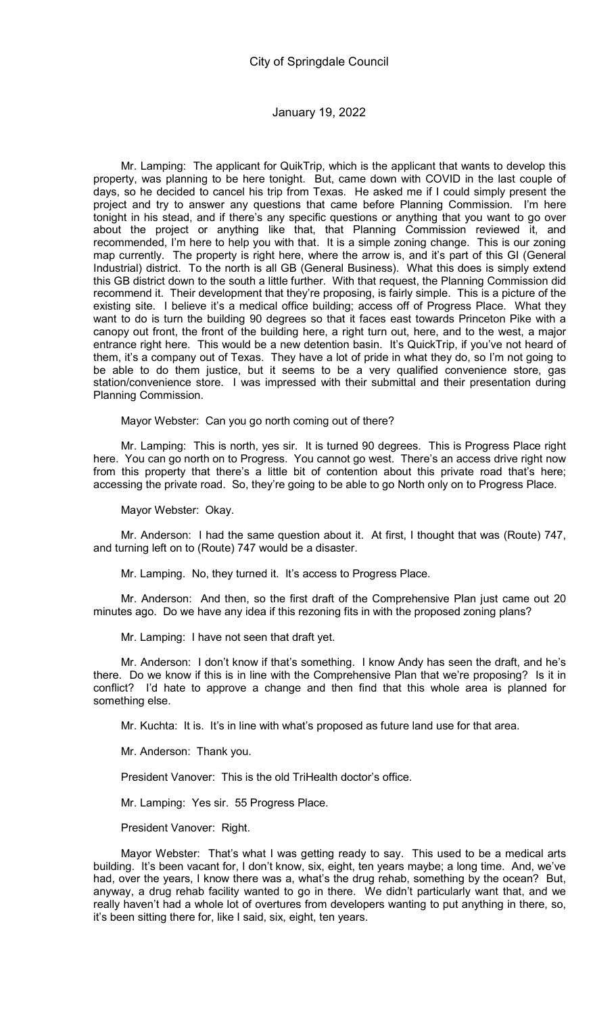Mr. Lamping: The applicant for QuikTrip, which is the applicant that wants to develop this property, was planning to be here tonight. But, came down with COVID in the last couple of days, so he decided to cancel his trip from Texas. He asked me if I could simply present the project and try to answer any questions that came before Planning Commission. I'm here tonight in his stead, and if there's any specific questions or anything that you want to go over about the project or anything like that, that Planning Commission reviewed it, and recommended, I'm here to help you with that. It is a simple zoning change. This is our zoning map currently. The property is right here, where the arrow is, and it's part of this GI (General Industrial) district. To the north is all GB (General Business). What this does is simply extend this GB district down to the south a little further. With that request, the Planning Commission did recommend it. Their development that they're proposing, is fairly simple. This is a picture of the existing site. I believe it's a medical office building; access off of Progress Place. What they want to do is turn the building 90 degrees so that it faces east towards Princeton Pike with a canopy out front, the front of the building here, a right turn out, here, and to the west, a major entrance right here. This would be a new detention basin. It's QuickTrip, if you've not heard of them, it's a company out of Texas. They have a lot of pride in what they do, so I'm not going to be able to do them justice, but it seems to be a very qualified convenience store, gas station/convenience store. I was impressed with their submittal and their presentation during Planning Commission.

Mayor Webster: Can you go north coming out of there?

Mr. Lamping: This is north, yes sir. It is turned 90 degrees. This is Progress Place right here. You can go north on to Progress. You cannot go west. There's an access drive right now from this property that there's a little bit of contention about this private road that's here; accessing the private road. So, they're going to be able to go North only on to Progress Place.

Mayor Webster: Okay.

Mr. Anderson: I had the same question about it. At first, I thought that was (Route) 747, and turning left on to (Route) 747 would be a disaster.

Mr. Lamping. No, they turned it. It's access to Progress Place.

Mr. Anderson: And then, so the first draft of the Comprehensive Plan just came out 20 minutes ago. Do we have any idea if this rezoning fits in with the proposed zoning plans?

Mr. Lamping: I have not seen that draft yet.

Mr. Anderson: I don't know if that's something. I know Andy has seen the draft, and he's there. Do we know if this is in line with the Comprehensive Plan that we're proposing? Is it in conflict? I'd hate to approve a change and then find that this whole area is planned for something else.

Mr. Kuchta: It is. It's in line with what's proposed as future land use for that area.

Mr. Anderson: Thank you.

President Vanover: This is the old TriHealth doctor's office.

Mr. Lamping: Yes sir. 55 Progress Place.

President Vanover: Right.

Mayor Webster: That's what I was getting ready to say. This used to be a medical arts building. It's been vacant for, I don't know, six, eight, ten years maybe; a long time. And, we've had, over the years, I know there was a, what's the drug rehab, something by the ocean? But, anyway, a drug rehab facility wanted to go in there. We didn't particularly want that, and we really haven't had a whole lot of overtures from developers wanting to put anything in there, so, it's been sitting there for, like I said, six, eight, ten years.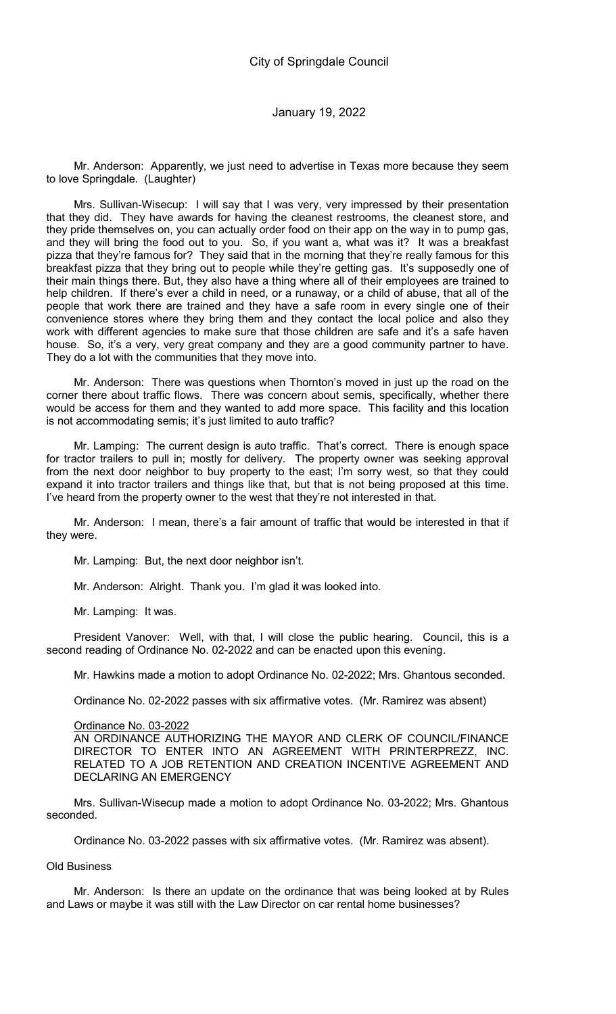Mr. Anderson: Apparently, we just need to advertise in Texas more because they seem to love Springdale. (Laughter)

Mrs. Sullivan-Wisecup: I will say that I was very, very impressed by their presentation that they did. They have awards for having the cleanest restrooms, the cleanest store, and they pride themselves on, you can actually order food on their app on the way in to pump gas, and they will bring the food out to you. So, if you want a, what was it? It was a breakfast pizza that they're famous for? They said that in the morning that they're really famous for this breakfast pizza that they bring out to people while they're getting gas. It's supposedly one of their main things there. But, they also have a thing where all of their employees are trained to help children. If there's ever a child in need, or a runaway, or a child of abuse, that all of the people that work there are trained and they have a safe room in every single one of their convenience stores where they bring them and they contact the local police and also they work with different agencies to make sure that those children are safe and it's a safe haven house. So, it's a very, very great company and they are a good community partner to have. They do a lot with the communities that they move into.

Mr. Anderson: There was questions when Thornton's moved in just up the road on the corner there about traffic flows. There was concern about semis, specifically, whether there would be access for them and they wanted to add more space. This facility and this location is not accommodating semis; it's just limited to auto traffic?

Mr. Lamping: The current design is auto traffic. That's correct. There is enough space for tractor trailers to pull in; mostly for delivery. The property owner was seeking approval from the next door neighbor to buy property to the east; I'm sorry west, so that they could expand it into tractor trailers and things like that, but that is not being proposed at this time. I've heard from the property owner to the west that they're not interested in that.

Mr. Anderson: I mean, there's a fair amount of traffic that would be interested in that if they were.

Mr. Lamping: But, the next door neighbor isn't.

Mr. Anderson: Alright. Thank you. I'm glad it was looked into.

Mr. Lamping: It was.

President Vanover: Well, with that, I will close the public hearing. Council, this is a second reading of Ordinance No. 02-2022 and can be enacted upon this evening.

Mr. Hawkins made a motion to adopt Ordinance No. 02-2022; Mrs. Ghantous seconded.

Ordinance No. 02-2022 passes with six affirmative votes. (Mr. Ramirez was absent)

#### Ordinance No. 03-2022

AN ORDINANCE AUTHORIZING THE MAYOR AND CLERK OF COUNCIL/FINANCE DIRECTOR TO ENTER INTO AN AGREEMENT WITH PRINTERPREZZ, INC. RELATED TO A JOB RETENTION AND CREATION INCENTIVE AGREEMENT AND DECLARING AN EMERGENCY

Mrs. Sullivan-Wisecup made a motion to adopt Ordinance No. 03-2022; Mrs. Ghantous seconded.

Ordinance No. 03-2022 passes with six affirmative votes. (Mr. Ramirez was absent).

## Old Business

Mr. Anderson: Is there an update on the ordinance that was being looked at by Rules and Laws or maybe it was still with the Law Director on car rental home businesses?